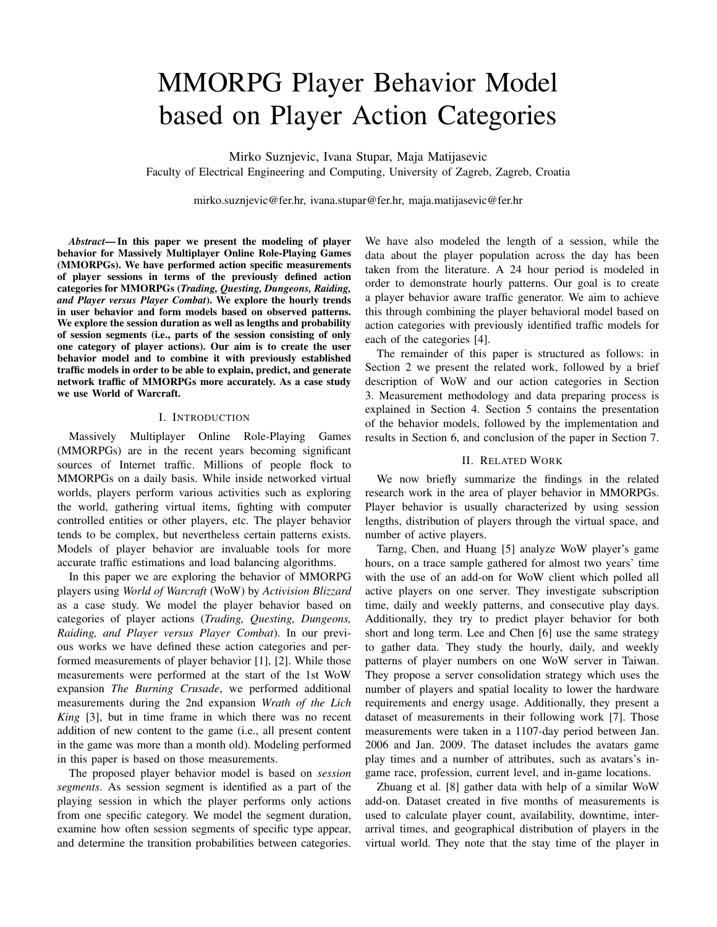# MMORPG Player Behavior Model based on Player Action Categories

Mirko Suznjevic, Ivana Stupar, Maja Matijasevic Faculty of Electrical Engineering and Computing, University of Zagreb, Zagreb, Croatia

mirko.suznjevic@fer.hr, ivana.stupar@fer.hr, maja.matijasevic@fer.hr

*Abstract*— In this paper we present the modeling of player behavior for Massively Multiplayer Online Role-Playing Games (MMORPGs). We have performed action specific measurements of player sessions in terms of the previously defined action categories for MMORPGs (*Trading, Questing, Dungeons, Raiding, and Player versus Player Combat*). We explore the hourly trends in user behavior and form models based on observed patterns. We explore the session duration as well as lengths and probability of session segments (i.e., parts of the session consisting of only one category of player actions). Our aim is to create the user behavior model and to combine it with previously established traffic models in order to be able to explain, predict, and generate network traffic of MMORPGs more accurately. As a case study we use World of Warcraft.

## I. INTRODUCTION

Massively Multiplayer Online Role-Playing Games (MMORPGs) are in the recent years becoming significant sources of Internet traffic. Millions of people flock to MMORPGs on a daily basis. While inside networked virtual worlds, players perform various activities such as exploring the world, gathering virtual items, fighting with computer controlled entities or other players, etc. The player behavior tends to be complex, but nevertheless certain patterns exists. Models of player behavior are invaluable tools for more accurate traffic estimations and load balancing algorithms.

In this paper we are exploring the behavior of MMORPG players using *World of Warcraft* (WoW) by *Activision Blizzard* as a case study. We model the player behavior based on categories of player actions (*Trading, Questing, Dungeons, Raiding, and Player versus Player Combat*). In our previous works we have defined these action categories and performed measurements of player behavior [1], [2]. While those measurements were performed at the start of the 1st WoW expansion *The Burning Crusade*, we performed additional measurements during the 2nd expansion *Wrath of the Lich King* [3], but in time frame in which there was no recent addition of new content to the game (i.e., all present content in the game was more than a month old). Modeling performed in this paper is based on those measurements.

The proposed player behavior model is based on *session segments*. As session segment is identified as a part of the playing session in which the player performs only actions from one specific category. We model the segment duration, examine how often session segments of specific type appear, and determine the transition probabilities between categories.

We have also modeled the length of a session, while the data about the player population across the day has been taken from the literature. A 24 hour period is modeled in order to demonstrate hourly patterns. Our goal is to create a player behavior aware traffic generator. We aim to achieve this through combining the player behavioral model based on action categories with previously identified traffic models for each of the categories [4].

The remainder of this paper is structured as follows: in Section 2 we present the related work, followed by a brief description of WoW and our action categories in Section 3. Measurement methodology and data preparing process is explained in Section 4. Section 5 contains the presentation of the behavior models, followed by the implementation and results in Section 6, and conclusion of the paper in Section 7.

#### II. RELATED WORK

We now briefly summarize the findings in the related research work in the area of player behavior in MMORPGs. Player behavior is usually characterized by using session lengths, distribution of players through the virtual space, and number of active players.

Tarng, Chen, and Huang [5] analyze WoW player's game hours, on a trace sample gathered for almost two years' time with the use of an add-on for WoW client which polled all active players on one server. They investigate subscription time, daily and weekly patterns, and consecutive play days. Additionally, they try to predict player behavior for both short and long term. Lee and Chen [6] use the same strategy to gather data. They study the hourly, daily, and weekly patterns of player numbers on one WoW server in Taiwan. They propose a server consolidation strategy which uses the number of players and spatial locality to lower the hardware requirements and energy usage. Additionally, they present a dataset of measurements in their following work [7]. Those measurements were taken in a 1107-day period between Jan. 2006 and Jan. 2009. The dataset includes the avatars game play times and a number of attributes, such as avatars's ingame race, profession, current level, and in-game locations.

Zhuang et al. [8] gather data with help of a similar WoW add-on. Dataset created in five months of measurements is used to calculate player count, availability, downtime, interarrival times, and geographical distribution of players in the virtual world. They note that the stay time of the player in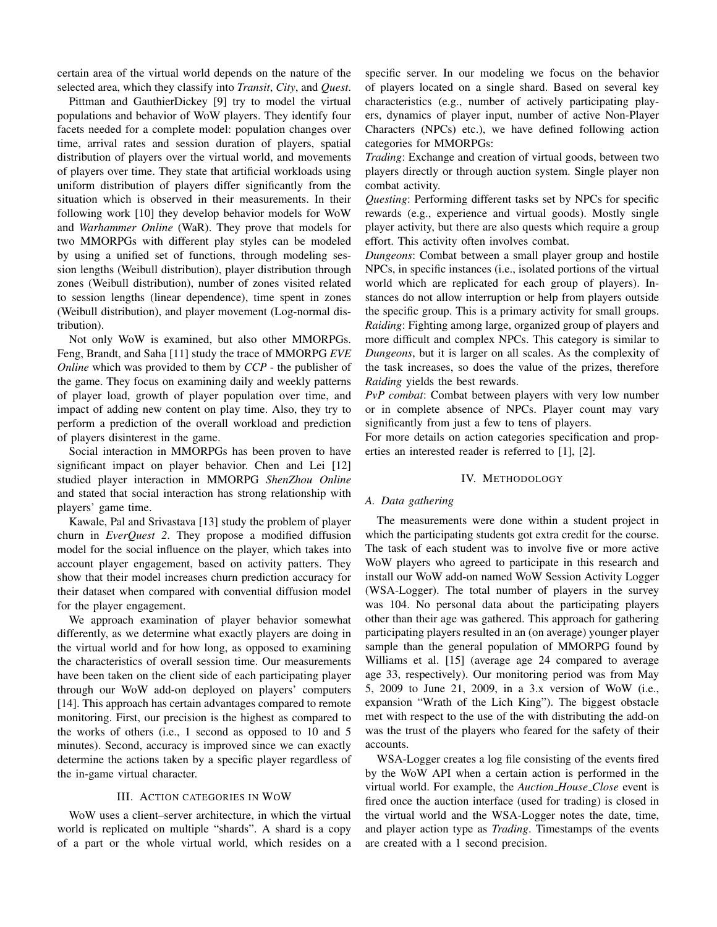certain area of the virtual world depends on the nature of the selected area, which they classify into *Transit*, *City*, and *Quest*.

Pittman and GauthierDickey [9] try to model the virtual populations and behavior of WoW players. They identify four facets needed for a complete model: population changes over time, arrival rates and session duration of players, spatial distribution of players over the virtual world, and movements of players over time. They state that artificial workloads using uniform distribution of players differ significantly from the situation which is observed in their measurements. In their following work [10] they develop behavior models for WoW and *Warhammer Online* (WaR). They prove that models for two MMORPGs with different play styles can be modeled by using a unified set of functions, through modeling session lengths (Weibull distribution), player distribution through zones (Weibull distribution), number of zones visited related to session lengths (linear dependence), time spent in zones (Weibull distribution), and player movement (Log-normal distribution).

Not only WoW is examined, but also other MMORPGs. Feng, Brandt, and Saha [11] study the trace of MMORPG *EVE Online* which was provided to them by *CCP* - the publisher of the game. They focus on examining daily and weekly patterns of player load, growth of player population over time, and impact of adding new content on play time. Also, they try to perform a prediction of the overall workload and prediction of players disinterest in the game.

Social interaction in MMORPGs has been proven to have significant impact on player behavior. Chen and Lei [12] studied player interaction in MMORPG *ShenZhou Online* and stated that social interaction has strong relationship with players' game time.

Kawale, Pal and Srivastava [13] study the problem of player churn in *EverQuest 2*. They propose a modified diffusion model for the social influence on the player, which takes into account player engagement, based on activity patters. They show that their model increases churn prediction accuracy for their dataset when compared with convential diffusion model for the player engagement.

We approach examination of player behavior somewhat differently, as we determine what exactly players are doing in the virtual world and for how long, as opposed to examining the characteristics of overall session time. Our measurements have been taken on the client side of each participating player through our WoW add-on deployed on players' computers [14]. This approach has certain advantages compared to remote monitoring. First, our precision is the highest as compared to the works of others (i.e., 1 second as opposed to 10 and 5 minutes). Second, accuracy is improved since we can exactly determine the actions taken by a specific player regardless of the in-game virtual character.

## III. ACTION CATEGORIES IN WOW

WoW uses a client–server architecture, in which the virtual world is replicated on multiple "shards". A shard is a copy of a part or the whole virtual world, which resides on a specific server. In our modeling we focus on the behavior of players located on a single shard. Based on several key characteristics (e.g., number of actively participating players, dynamics of player input, number of active Non-Player Characters (NPCs) etc.), we have defined following action categories for MMORPGs:

*Trading*: Exchange and creation of virtual goods, between two players directly or through auction system. Single player non combat activity.

*Questing*: Performing different tasks set by NPCs for specific rewards (e.g., experience and virtual goods). Mostly single player activity, but there are also quests which require a group effort. This activity often involves combat.

*Dungeons*: Combat between a small player group and hostile NPCs, in specific instances (i.e., isolated portions of the virtual world which are replicated for each group of players). Instances do not allow interruption or help from players outside the specific group. This is a primary activity for small groups. *Raiding*: Fighting among large, organized group of players and more difficult and complex NPCs. This category is similar to *Dungeons*, but it is larger on all scales. As the complexity of the task increases, so does the value of the prizes, therefore *Raiding* yields the best rewards.

*PvP combat*: Combat between players with very low number or in complete absence of NPCs. Player count may vary significantly from just a few to tens of players.

For more details on action categories specification and properties an interested reader is referred to [1], [2].

#### IV. METHODOLOGY

# *A. Data gathering*

The measurements were done within a student project in which the participating students got extra credit for the course. The task of each student was to involve five or more active WoW players who agreed to participate in this research and install our WoW add-on named WoW Session Activity Logger (WSA-Logger). The total number of players in the survey was 104. No personal data about the participating players other than their age was gathered. This approach for gathering participating players resulted in an (on average) younger player sample than the general population of MMORPG found by Williams et al. [15] (average age 24 compared to average age 33, respectively). Our monitoring period was from May 5, 2009 to June 21, 2009, in a 3.x version of WoW (i.e., expansion "Wrath of the Lich King"). The biggest obstacle met with respect to the use of the with distributing the add-on was the trust of the players who feared for the safety of their accounts.

WSA-Logger creates a log file consisting of the events fired by the WoW API when a certain action is performed in the virtual world. For example, the *Auction House Close* event is fired once the auction interface (used for trading) is closed in the virtual world and the WSA-Logger notes the date, time, and player action type as *Trading*. Timestamps of the events are created with a 1 second precision.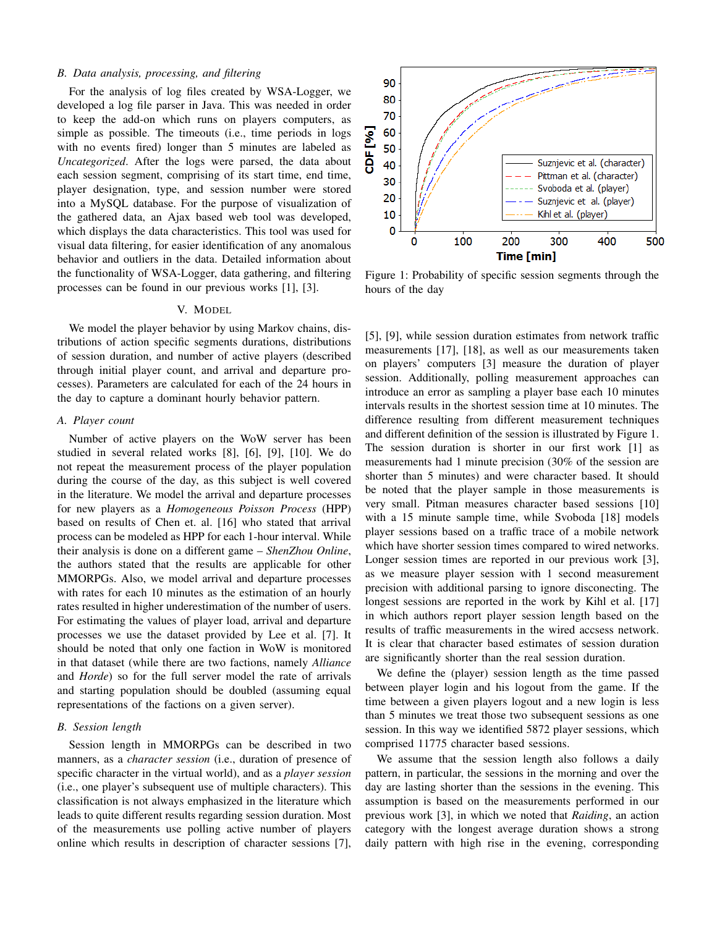## *B. Data analysis, processing, and filtering*

For the analysis of log files created by WSA-Logger, we developed a log file parser in Java. This was needed in order to keep the add-on which runs on players computers, as simple as possible. The timeouts (i.e., time periods in logs with no events fired) longer than 5 minutes are labeled as *Uncategorized*. After the logs were parsed, the data about each session segment, comprising of its start time, end time, player designation, type, and session number were stored into a MySQL database. For the purpose of visualization of the gathered data, an Ajax based web tool was developed, which displays the data characteristics. This tool was used for visual data filtering, for easier identification of any anomalous behavior and outliers in the data. Detailed information about the functionality of WSA-Logger, data gathering, and filtering processes can be found in our previous works [1], [3].

# V. MODEL

We model the player behavior by using Markov chains, distributions of action specific segments durations, distributions of session duration, and number of active players (described through initial player count, and arrival and departure processes). Parameters are calculated for each of the 24 hours in the day to capture a dominant hourly behavior pattern.

#### *A. Player count*

Number of active players on the WoW server has been studied in several related works [8], [6], [9], [10]. We do not repeat the measurement process of the player population during the course of the day, as this subject is well covered in the literature. We model the arrival and departure processes for new players as a *Homogeneous Poisson Process* (HPP) based on results of Chen et. al. [16] who stated that arrival process can be modeled as HPP for each 1-hour interval. While their analysis is done on a different game – *ShenZhou Online*, the authors stated that the results are applicable for other MMORPGs. Also, we model arrival and departure processes with rates for each 10 minutes as the estimation of an hourly rates resulted in higher underestimation of the number of users. For estimating the values of player load, arrival and departure processes we use the dataset provided by Lee et al. [7]. It should be noted that only one faction in WoW is monitored in that dataset (while there are two factions, namely *Alliance* and *Horde*) so for the full server model the rate of arrivals and starting population should be doubled (assuming equal representations of the factions on a given server).

# *B. Session length*

Session length in MMORPGs can be described in two manners, as a *character session* (i.e., duration of presence of specific character in the virtual world), and as a *player session* (i.e., one player's subsequent use of multiple characters). This classification is not always emphasized in the literature which leads to quite different results regarding session duration. Most of the measurements use polling active number of players online which results in description of character sessions [7],



Figure 1: Probability of specific session segments through the hours of the day

[5], [9], while session duration estimates from network traffic measurements [17], [18], as well as our measurements taken on players' computers [3] measure the duration of player session. Additionally, polling measurement approaches can introduce an error as sampling a player base each 10 minutes intervals results in the shortest session time at 10 minutes. The difference resulting from different measurement techniques and different definition of the session is illustrated by Figure 1. The session duration is shorter in our first work [1] as measurements had 1 minute precision (30% of the session are shorter than 5 minutes) and were character based. It should be noted that the player sample in those measurements is very small. Pitman measures character based sessions [10] with a 15 minute sample time, while Svoboda [18] models player sessions based on a traffic trace of a mobile network which have shorter session times compared to wired networks. Longer session times are reported in our previous work [3], as we measure player session with 1 second measurement precision with additional parsing to ignore disconecting. The longest sessions are reported in the work by Kihl et al. [17] in which authors report player session length based on the results of traffic measurements in the wired accsess network. It is clear that character based estimates of session duration are significantly shorter than the real session duration.

We define the (player) session length as the time passed between player login and his logout from the game. If the time between a given players logout and a new login is less than 5 minutes we treat those two subsequent sessions as one session. In this way we identified 5872 player sessions, which comprised 11775 character based sessions.

We assume that the session length also follows a daily pattern, in particular, the sessions in the morning and over the day are lasting shorter than the sessions in the evening. This assumption is based on the measurements performed in our previous work [3], in which we noted that *Raiding*, an action category with the longest average duration shows a strong daily pattern with high rise in the evening, corresponding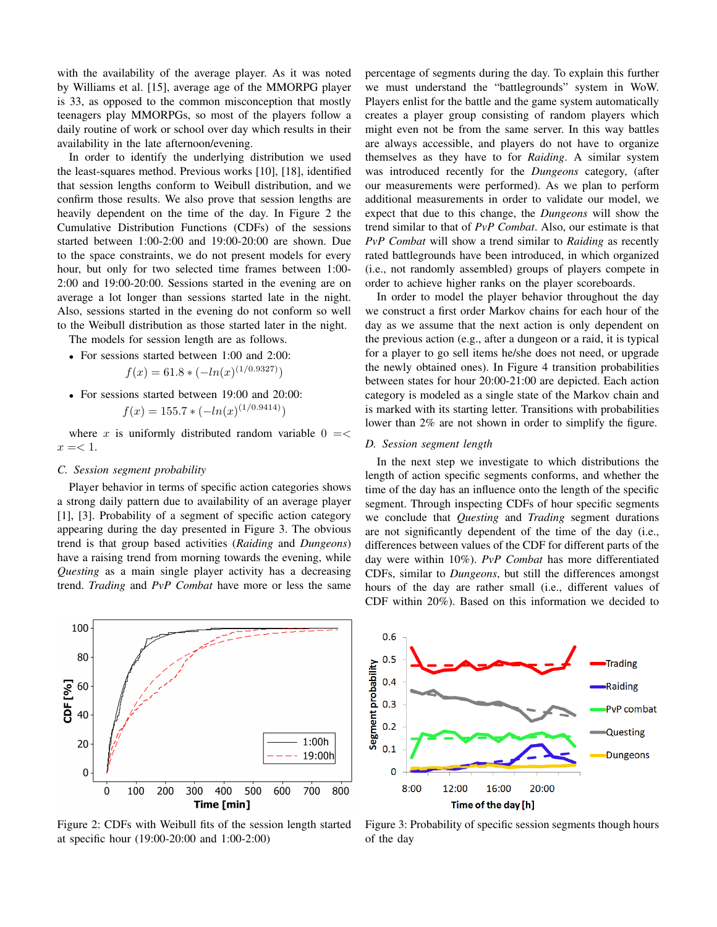with the availability of the average player. As it was noted by Williams et al. [15], average age of the MMORPG player is 33, as opposed to the common misconception that mostly teenagers play MMORPGs, so most of the players follow a daily routine of work or school over day which results in their availability in the late afternoon/evening.

In order to identify the underlying distribution we used the least-squares method. Previous works [10], [18], identified that session lengths conform to Weibull distribution, and we confirm those results. We also prove that session lengths are heavily dependent on the time of the day. In Figure 2 the Cumulative Distribution Functions (CDFs) of the sessions started between 1:00-2:00 and 19:00-20:00 are shown. Due to the space constraints, we do not present models for every hour, but only for two selected time frames between 1:00- 2:00 and 19:00-20:00. Sessions started in the evening are on average a lot longer than sessions started late in the night. Also, sessions started in the evening do not conform so well to the Weibull distribution as those started later in the night.

The models for session length are as follows.

• For sessions started between 1:00 and 2:00:

$$
f(x) = 61.8 * (-ln(x)^{(1/0.9327)})
$$

• For sessions started between 19:00 and 20:00:  $f(x) = 155.7 * (-ln(x)^{(1/0.9414)})$ 

where x is uniformly distributed random variable  $0 = \lt$  $x = < 1$ .

# *C. Session segment probability*

Player behavior in terms of specific action categories shows a strong daily pattern due to availability of an average player [1], [3]. Probability of a segment of specific action category appearing during the day presented in Figure 3. The obvious trend is that group based activities (*Raiding* and *Dungeons*) have a raising trend from morning towards the evening, while *Questing* as a main single player activity has a decreasing trend. *Trading* and *PvP Combat* have more or less the same percentage of segments during the day. To explain this further we must understand the "battlegrounds" system in WoW. Players enlist for the battle and the game system automatically creates a player group consisting of random players which might even not be from the same server. In this way battles are always accessible, and players do not have to organize themselves as they have to for *Raiding*. A similar system was introduced recently for the *Dungeons* category, (after our measurements were performed). As we plan to perform additional measurements in order to validate our model, we expect that due to this change, the *Dungeons* will show the trend similar to that of *PvP Combat*. Also, our estimate is that *PvP Combat* will show a trend similar to *Raiding* as recently rated battlegrounds have been introduced, in which organized (i.e., not randomly assembled) groups of players compete in order to achieve higher ranks on the player scoreboards.

In order to model the player behavior throughout the day we construct a first order Markov chains for each hour of the day as we assume that the next action is only dependent on the previous action (e.g., after a dungeon or a raid, it is typical for a player to go sell items he/she does not need, or upgrade the newly obtained ones). In Figure 4 transition probabilities between states for hour 20:00-21:00 are depicted. Each action category is modeled as a single state of the Markov chain and is marked with its starting letter. Transitions with probabilities lower than 2% are not shown in order to simplify the figure.

#### *D. Session segment length*

In the next step we investigate to which distributions the length of action specific segments conforms, and whether the time of the day has an influence onto the length of the specific segment. Through inspecting CDFs of hour specific segments we conclude that *Questing* and *Trading* segment durations are not significantly dependent of the time of the day (i.e., differences between values of the CDF for different parts of the day were within 10%). *PvP Combat* has more differentiated CDFs, similar to *Dungeons*, but still the differences amongst hours of the day are rather small (i.e., different values of CDF within 20%). Based on this information we decided to



Figure 2: CDFs with Weibull fits of the session length started at specific hour (19:00-20:00 and 1:00-2:00)



Figure 3: Probability of specific session segments though hours of the day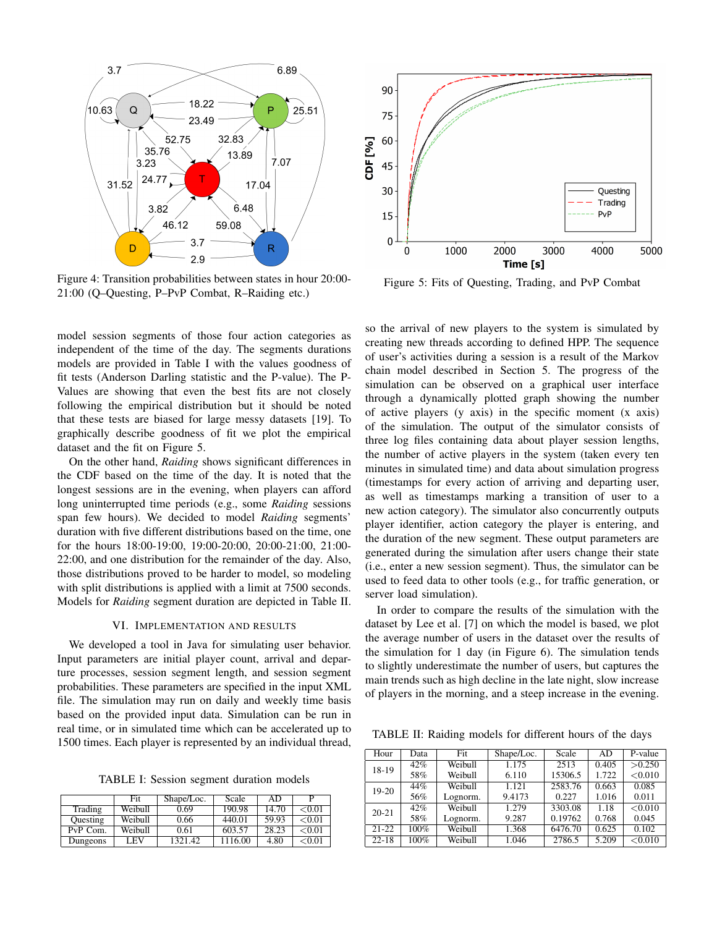

Figure 4: Transition probabilities between states in hour 20:00- 21:00 (Q–Questing, P–PvP Combat, R–Raiding etc.)

model session segments of those four action categories as independent of the time of the day. The segments durations models are provided in Table I with the values goodness of fit tests (Anderson Darling statistic and the P-value). The P-Values are showing that even the best fits are not closely following the empirical distribution but it should be noted that these tests are biased for large messy datasets [19]. To graphically describe goodness of fit we plot the empirical dataset and the fit on Figure 5.

On the other hand, *Raiding* shows significant differences in the CDF based on the time of the day. It is noted that the longest sessions are in the evening, when players can afford long uninterrupted time periods (e.g., some *Raiding* sessions span few hours). We decided to model *Raiding* segments' duration with five different distributions based on the time, one for the hours 18:00-19:00, 19:00-20:00, 20:00-21:00, 21:00- 22:00, and one distribution for the remainder of the day. Also, those distributions proved to be harder to model, so modeling with split distributions is applied with a limit at 7500 seconds. Models for *Raiding* segment duration are depicted in Table II.

#### VI. IMPLEMENTATION AND RESULTS

We developed a tool in Java for simulating user behavior. Input parameters are initial player count, arrival and departure processes, session segment length, and session segment probabilities. These parameters are specified in the input XML file. The simulation may run on daily and weekly time basis based on the provided input data. Simulation can be run in real time, or in simulated time which can be accelerated up to 1500 times. Each player is represented by an individual thread,

TABLE I: Session segment duration models

|            | Fit     | Shape/Loc. | Scale   | AD    |           |
|------------|---------|------------|---------|-------|-----------|
| Trading    | Weibull | 0.69       | 190.98  | 14.70 | ${<}0.01$ |
| Questing   | Weibull | 0.66       | 440.01  | 59.93 | ${<}0.01$ |
| $PvP$ Com. | Weibull | 0.61       | 603.57  | 28.23 | < 0.01    |
| Dungeons   | LEV     | 1321.42    | 1116.00 | 4.80  | <0.01     |



Figure 5: Fits of Questing, Trading, and PvP Combat

so the arrival of new players to the system is simulated by creating new threads according to defined HPP. The sequence of user's activities during a session is a result of the Markov chain model described in Section 5. The progress of the simulation can be observed on a graphical user interface through a dynamically plotted graph showing the number of active players (y axis) in the specific moment (x axis) of the simulation. The output of the simulator consists of three log files containing data about player session lengths, the number of active players in the system (taken every ten minutes in simulated time) and data about simulation progress (timestamps for every action of arriving and departing user, as well as timestamps marking a transition of user to a new action category). The simulator also concurrently outputs player identifier, action category the player is entering, and the duration of the new segment. These output parameters are generated during the simulation after users change their state (i.e., enter a new session segment). Thus, the simulator can be used to feed data to other tools (e.g., for traffic generation, or server load simulation).

In order to compare the results of the simulation with the dataset by Lee et al. [7] on which the model is based, we plot the average number of users in the dataset over the results of the simulation for 1 day (in Figure 6). The simulation tends to slightly underestimate the number of users, but captures the main trends such as high decline in the late night, slow increase of players in the morning, and a steep increase in the evening.

TABLE II: Raiding models for different hours of the days

| Hour      | Data    | Fit      | Shape/Loc. | Scale   | AD    | P-value |
|-----------|---------|----------|------------|---------|-------|---------|
| 18-19     | 42%     | Weibull  | 1.175      | 2513    | 0.405 | > 0.250 |
|           | 58%     | Weibull  | 6.110      | 15306.5 | 1.722 | < 0.010 |
| 19-20     | 44%     | Weibull  | 1.121      | 2583.76 | 0.663 | 0.085   |
|           | 56%     | Lognorm. | 9.4173     | 0.227   | 1.016 | 0.011   |
| $20 - 21$ | 42%     | Weibull  | 1.279      | 3303.08 | 1.18  | < 0.010 |
|           | 58%     | Lognorm. | 9.287      | 0.19762 | 0.768 | 0.045   |
| $21 - 22$ | 100%    | Weibull  | 1.368      | 6476.70 | 0.625 | 0.102   |
| $22 - 18$ | $100\%$ | Weibull  | 1.046      | 2786.5  | 5.209 | < 0.010 |